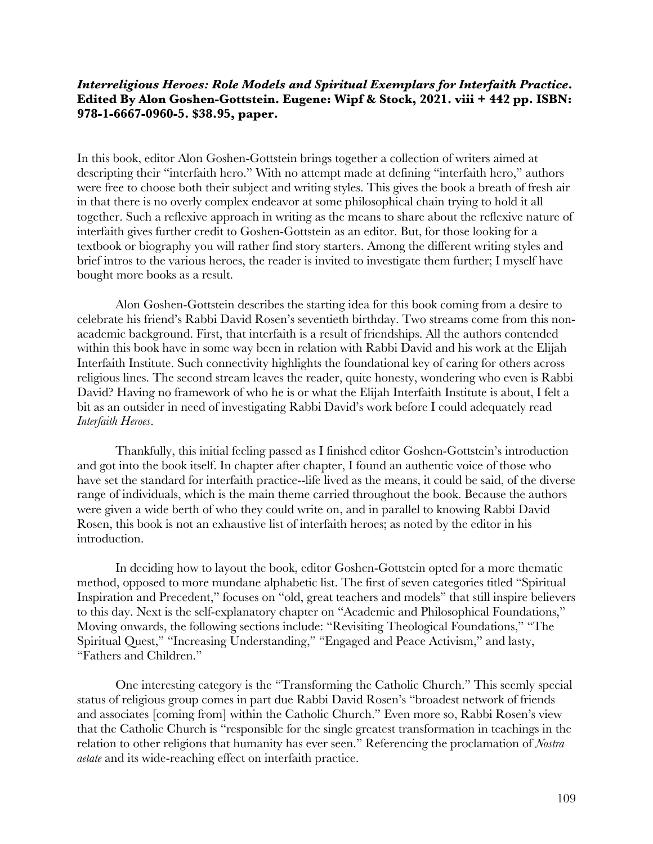## *Interreligious Heroes: Role Models and Spiritual Exemplars for Interfaith Practice***. Edited By Alon Goshen-Gottstein. Eugene: Wipf & Stock, 2021. viii + 442 pp. ISBN: 978-1-6667-0960-5. \$38.95, paper.**

In this book, editor Alon Goshen-Gottstein brings together a collection of writers aimed at descripting their "interfaith hero." With no attempt made at defining "interfaith hero," authors were free to choose both their subject and writing styles. This gives the book a breath of fresh air in that there is no overly complex endeavor at some philosophical chain trying to hold it all together. Such a reflexive approach in writing as the means to share about the reflexive nature of interfaith gives further credit to Goshen-Gottstein as an editor. But, for those looking for a textbook or biography you will rather find story starters. Among the different writing styles and brief intros to the various heroes, the reader is invited to investigate them further; I myself have bought more books as a result.

Alon Goshen-Gottstein describes the starting idea for this book coming from a desire to celebrate his friend's Rabbi David Rosen's seventieth birthday. Two streams come from this nonacademic background. First, that interfaith is a result of friendships. All the authors contended within this book have in some way been in relation with Rabbi David and his work at the Elijah Interfaith Institute. Such connectivity highlights the foundational key of caring for others across religious lines. The second stream leaves the reader, quite honesty, wondering who even is Rabbi David? Having no framework of who he is or what the Elijah Interfaith Institute is about, I felt a bit as an outsider in need of investigating Rabbi David's work before I could adequately read *Interfaith Heroes*.

Thankfully, this initial feeling passed as I finished editor Goshen-Gottstein's introduction and got into the book itself. In chapter after chapter, I found an authentic voice of those who have set the standard for interfaith practice--life lived as the means, it could be said, of the diverse range of individuals, which is the main theme carried throughout the book. Because the authors were given a wide berth of who they could write on, and in parallel to knowing Rabbi David Rosen, this book is not an exhaustive list of interfaith heroes; as noted by the editor in his introduction.

In deciding how to layout the book, editor Goshen-Gottstein opted for a more thematic method, opposed to more mundane alphabetic list. The first of seven categories titled "Spiritual Inspiration and Precedent," focuses on "old, great teachers and models" that still inspire believers to this day. Next is the self-explanatory chapter on "Academic and Philosophical Foundations," Moving onwards, the following sections include: "Revisiting Theological Foundations," "The Spiritual Quest," "Increasing Understanding," "Engaged and Peace Activism," and lasty, "Fathers and Children."

One interesting category is the "Transforming the Catholic Church." This seemly special status of religious group comes in part due Rabbi David Rosen's "broadest network of friends and associates [coming from] within the Catholic Church." Even more so, Rabbi Rosen's view that the Catholic Church is "responsible for the single greatest transformation in teachings in the relation to other religions that humanity has ever seen." Referencing the proclamation of *Nostra aetate* and its wide-reaching effect on interfaith practice.